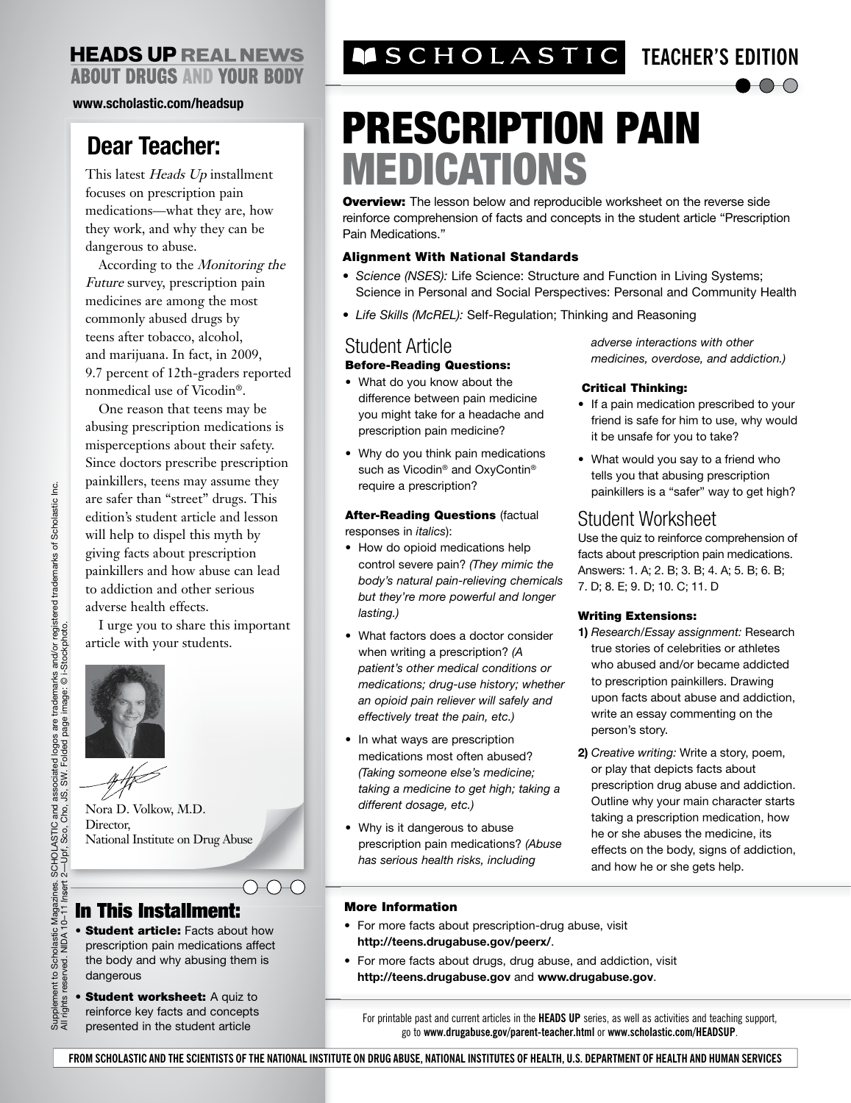#### **HEADS UP REAL NEWS ABOUT DRUGS AND YOUR BODY**

**www.scholastic.com/headsup**

## **Dear Teacher:**

This latest Heads Up installment focuses on prescription pain medications—what they are, how they work, and why they can be dangerous to abuse.

According to the Monitoring the Future survey, prescription pain medicines are among the most commonly abused drugs by teens after tobacco, alcohol, and marijuana. In fact, in 2009, 9.7 percent of 12th-graders reported nonmedical use of Vicodin®.

One reason that teens may be abusing prescription medications is misperceptions about their safety. Since doctors prescribe prescription painkillers, teens may assume they are safer than "street" drugs. This edition's student article and lesson will help to dispel this myth by giving facts about prescription painkillers and how abuse can lead to addiction and other serious adverse health effects.

I urge you to share this important article with your students.



Nora D. Volkow, M.D. Director, National Institute on Drug Abuse

## In This Installment:

- Student article: Facts about how prescription pain medications affect the body and why abusing them is dangerous
- Student worksheet: A quiz to
- reinforce key facts and concepts presented in the student article

# **TEACHER'S EDITION**

# PRESCRIPTION PAIN MEDICATIONS

**Overview:** The lesson below and reproducible worksheet on the reverse side reinforce comprehension of facts and concepts in the student article "Prescription Pain Medications."

#### Alignment With National Standards

- *Science (NSES):* Life Science: Structure and Function in Living Systems; Science in Personal and Social Perspectives: Personal and Community Health
- *Life Skills (McREL):* Self-Regulation; Thinking and Reasoning

### Student Article

#### Before-Reading Questions:

- What do you know about the difference between pain medicine you might take for a headache and prescription pain medicine?
- Why do you think pain medications such as Vicodin<sup>®</sup> and OxyContin<sup>®</sup> require a prescription?

**After-Reading Questions (factual** responses in *italics*):

- How do opioid medications help control severe pain? *(They mimic the body's natural pain-relieving chemicals but they're more powerful and longer lasting.)*
- What factors does a doctor consider when writing a prescription? *(A patient's other medical conditions or medications; drug-use history; whether an opioid pain reliever will safely and effectively treat the pain, etc.)*
- In what ways are prescription medications most often abused? *(Taking someone else's medicine; taking a medicine to get high; taking a different dosage, etc.)*
- Why is it dangerous to abuse prescription pain medications? *(Abuse has serious health risks, including*

*adverse interactions with other medicines, overdose, and addiction.)*

 $\bigcirc$ 

#### Critical Thinking:

- If a pain medication prescribed to your friend is safe for him to use, why would it be unsafe for you to take?
- What would you say to a friend who tells you that abusing prescription painkillers is a "safer" way to get high?

### Student Worksheet

Use the quiz to reinforce comprehension of facts about prescription pain medications. Answers: 1. A; 2. B; 3. B; 4. A; 5. B; 6. B; 7. D; 8. E; 9. D; 10. C; 11. D

#### Writing Extensions:

- **1)** *Research/Essay assignment:* Research true stories of celebrities or athletes who abused and/or became addicted to prescription painkillers. Drawing upon facts about abuse and addiction, write an essay commenting on the person's story.
- **2)** *Creative writing:* Write a story, poem, or play that depicts facts about prescription drug abuse and addiction. Outline why your main character starts taking a prescription medication, how he or she abuses the medicine, its effects on the body, signs of addiction, and how he or she gets help.

#### More Information

- For more facts about prescription-drug abuse, visit **http://teens.drugabuse.gov/peerx/**.
- For more facts about drugs, drug abuse, and addiction, visit **http://teens.drugabuse.gov** and **www.drugabuse.gov**.

For printable past and current articles in the **HEADS UP** series, as well as activities and teaching support, go to **www.drugabuse.gov/parent-teacher.html** or **www.scholastic.com/HEADSUP**.

**FROM SCHOLASTIC AND THE SCIENTISTS OF THE NATIONAL INSTITUTE ON DRUG ABUSE, NATIONAL INSTITUTES OF HEALTH, U.S. DEPARTMENT OF HEALTH AND HUMAN SERVICES**